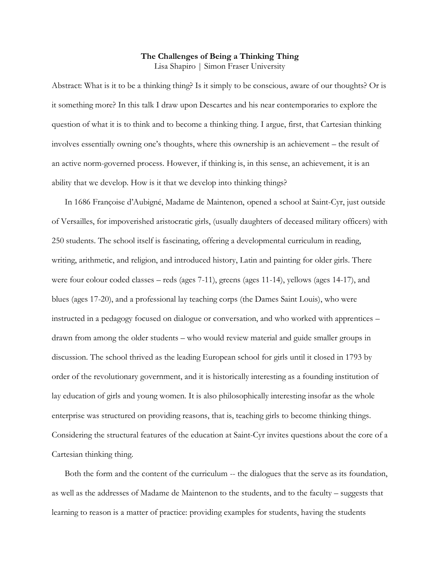## **The Challenges of Being a Thinking Thing** Lisa Shapiro | Simon Fraser University

Abstract: What is it to be a thinking thing? Is it simply to be conscious, aware of our thoughts? Or is it something more? In this talk I draw upon Descartes and his near contemporaries to explore the question of what it is to think and to become a thinking thing. I argue, first, that Cartesian thinking involves essentially owning one's thoughts, where this ownership is an achievement – the result of an active norm-governed process. However, if thinking is, in this sense, an achievement, it is an ability that we develop. How is it that we develop into thinking things?

In 1686 Françoise d'Aubigné, Madame de Maintenon, opened a school at Saint-Cyr, just outside of Versailles, for impoverished aristocratic girls, (usually daughters of deceased military officers) with 250 students. The school itself is fascinating, offering a developmental curriculum in reading, writing, arithmetic, and religion, and introduced history, Latin and painting for older girls. There were four colour coded classes – reds (ages 7-11), greens (ages 11-14), yellows (ages 14-17), and blues (ages 17-20), and a professional lay teaching corps (the Dames Saint Louis), who were instructed in a pedagogy focused on dialogue or conversation, and who worked with apprentices – drawn from among the older students – who would review material and guide smaller groups in discussion. The school thrived as the leading European school for girls until it closed in 1793 by order of the revolutionary government, and it is historically interesting as a founding institution of lay education of girls and young women. It is also philosophically interesting insofar as the whole enterprise was structured on providing reasons, that is, teaching girls to become thinking things. Considering the structural features of the education at Saint-Cyr invites questions about the core of a Cartesian thinking thing.

Both the form and the content of the curriculum -- the dialogues that the serve as its foundation, as well as the addresses of Madame de Maintenon to the students, and to the faculty – suggests that learning to reason is a matter of practice: providing examples for students, having the students